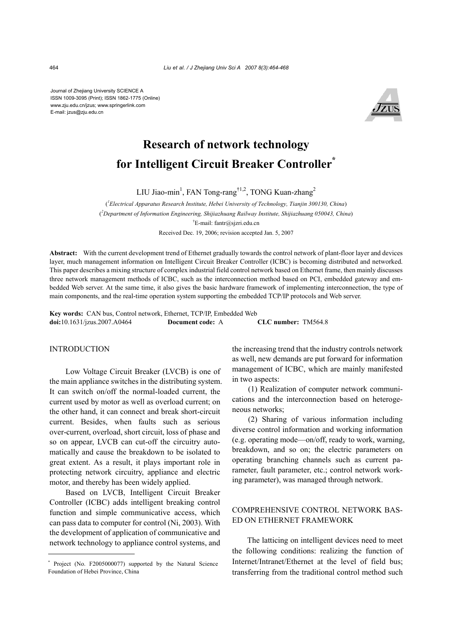Journal of Zhejiang University SCIENCE A ISSN 1009-3095 (Print); ISSN 1862-1775 (Online) www.zju.edu.cn/jzus; www.springerlink.com E-mail: jzus@zju.edu.cn



# **Research of network technology for Intelligent Circuit Breaker Controller\***

LIU Jiao-min<sup>1</sup>, FAN Tong-rang<sup>†1,2</sup>, TONG Kuan-zhang<sup>2</sup>

( *1 Electrical Apparatus Research Institute, Hebei University of Technology, Tianjin 300130, China*) ( *2 Department of Information Engineering, Shijiazhuang Railway Institute, Shijiazhuang 050043, China*) † E-mail: fantr@sjzri.edu.cn Received Dec. 19, 2006; revision accepted Jan. 5, 2007

**Abstract:** With the current development trend of Ethernet gradually towards the control network of plant-floor layer and devices layer, much management information on Intelligent Circuit Breaker Controller (ICBC) is becoming distributed and networked. This paper describes a mixing structure of complex industrial field control network based on Ethernet frame, then mainly discusses three network management methods of ICBC, such as the interconnection method based on PCI, embedded gateway and embedded Web server. At the same time, it also gives the basic hardware framework of implementing interconnection, the type of main components, and the real-time operation system supporting the embedded TCP/IP protocols and Web server.

**Key words:** CAN bus, Control network, Ethernet, TCP/IP, Embedded Web **doi:**10.1631/jzus.2007.A0464 **Document code:** A **CLC number:** TM564.8

#### INTRODUCTION

Low Voltage Circuit Breaker (LVCB) is one of the main appliance switches in the distributing system. It can switch on/off the normal-loaded current, the current used by motor as well as overload current; on the other hand, it can connect and break short-circuit current. Besides, when faults such as serious over-current, overload, short circuit, loss of phase and so on appear, LVCB can cut-off the circuitry automatically and cause the breakdown to be isolated to great extent. As a result, it plays important role in protecting network circuitry, appliance and electric motor, and thereby has been widely applied.

Based on LVCB, Intelligent Circuit Breaker Controller (ICBC) adds intelligent breaking control function and simple communicative access, which can pass data to computer for control (Ni, 2003). With the development of application of communicative and network technology to appliance control systems, and the increasing trend that the industry controls network as well, new demands are put forward for information management of ICBC, which are mainly manifested in two aspects:

(1) Realization of computer network communications and the interconnection based on heterogeneous networks;

(2) Sharing of various information including diverse control information and working information (e.g. operating mode—on/off, ready to work, warning, breakdown, and so on; the electric parameters on operating branching channels such as current parameter, fault parameter, etc.; control network working parameter), was managed through network.

# COMPREHENSIVE CONTROL NETWORK BAS-ED ON ETHERNET FRAMEWORK

The latticing on intelligent devices need to meet the following conditions: realizing the function of Internet/Intranet/Ethernet at the level of field bus; transferring from the traditional control method such

<sup>\*</sup> Project (No. F2005000077) supported by the Natural Science Foundation of Hebei Province, China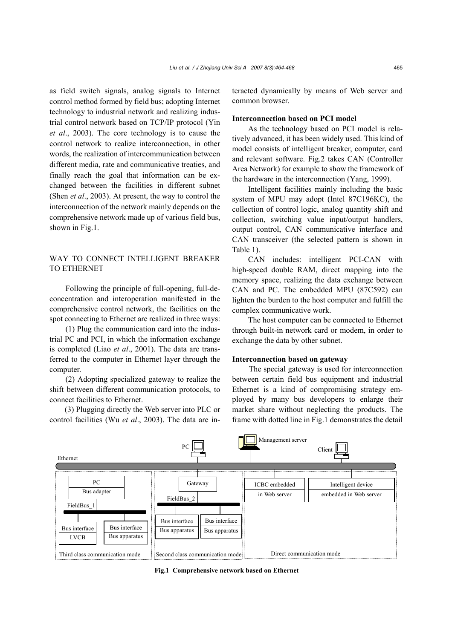as field switch signals, analog signals to Internet control method formed by field bus; adopting Internet technology to industrial network and realizing industrial control network based on TCP/IP protocol (Yin *et al*., 2003). The core technology is to cause the control network to realize interconnection, in other words, the realization of intercommunication between different media, rate and communicative treaties, and finally reach the goal that information can be exchanged between the facilities in different subnet (Shen *et al*., 2003). At present, the way to control the interconnection of the network mainly depends on the comprehensive network made up of various field bus, shown in Fig.1.

## WAY TO CONNECT INTELLIGENT BREAKER TO ETHERNET

Following the principle of full-opening, full-deconcentration and interoperation manifested in the comprehensive control network, the facilities on the spot connecting to Ethernet are realized in three ways:

(1) Plug the communication card into the industrial PC and PCI, in which the information exchange is completed (Liao *et al*., 2001). The data are transferred to the computer in Ethernet layer through the computer.

(2) Adopting specialized gateway to realize the shift between different communication protocols, to connect facilities to Ethernet.

(3) Plugging directly the Web server into PLC or control facilities (Wu *et al*., 2003). The data are interacted dynamically by means of Web server and common browser.

#### **Interconnection based on PCI model**

As the technology based on PCI model is relatively advanced, it has been widely used. This kind of model consists of intelligent breaker, computer, card and relevant software. Fig.2 takes CAN (Controller Area Network) for example to show the framework of the hardware in the interconnection (Yang, 1999).

Intelligent facilities mainly including the basic system of MPU may adopt (Intel 87C196KC), the collection of control logic, analog quantity shift and collection, switching value input/output handlers, output control, CAN communicative interface and CAN transceiver (the selected pattern is shown in Table 1).

CAN includes: intelligent PCI-CAN with high-speed double RAM, direct mapping into the memory space, realizing the data exchange between CAN and PC. The embedded MPU (87C592) can lighten the burden to the host computer and fulfill the complex communicative work.

The host computer can be connected to Ethernet through built-in network card or modem, in order to exchange the data by other subnet.

#### **Interconnection based on gateway**

The special gateway is used for interconnection between certain field bus equipment and industrial Ethernet is a kind of compromising strategy employed by many bus developers to enlarge their market share without neglecting the products. The frame with dotted line in Fig.1 demonstrates the detail



**Fig.1 Comprehensive network based on Ethernet**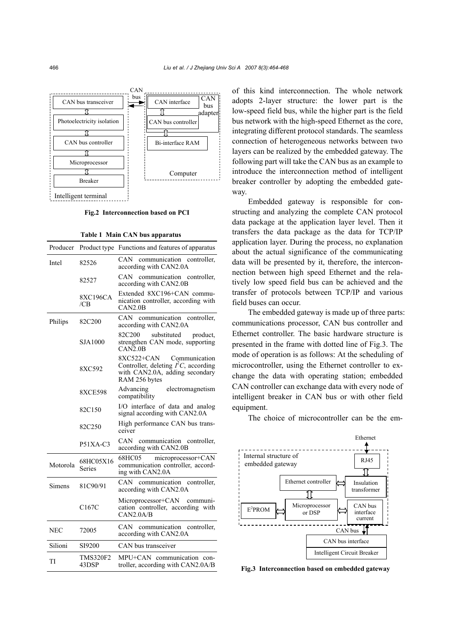

**Fig.2 Interconnection based on PCI**

**Table 1 Main CAN bus apparatus** 

| Producer |                          | Product type Functions and features of apparatus                                                                         |
|----------|--------------------------|--------------------------------------------------------------------------------------------------------------------------|
| Intel    | 82526                    | communication<br>CAN-<br>controller,<br>according with CAN2.0A                                                           |
|          | 82527                    | CAN communication<br>controller,<br>according with CAN2.0B                                                               |
|          | <b>8XC196CA</b><br>/CB   | Extended 8XC196+CAN commu-<br>nication controller, according with<br>CAN2.0B                                             |
| Philips  | 82C200                   | CAN communication controller,<br>according with CAN2.0A                                                                  |
|          | SJA1000                  | 82C200<br>substituted<br>product,<br>strengthen CAN mode, supporting<br>CAN2.0B                                          |
|          | 8XC592                   | 8XC522+CAN<br>Communication<br>Controller, deleting $I2C$ , according<br>with CAN2.0A, adding secondary<br>RAM 256 bytes |
|          | <b>8XCE598</b>           | Advancing<br>electromagnetism<br>compatibility                                                                           |
|          | 82C150                   | I/O interface of data and analog<br>signal according with CAN2.0A                                                        |
|          | 82C250                   | High performance CAN bus trans-<br>ceiver                                                                                |
|          | $P51XA-C3$               | CAN communication controller,<br>according with CAN2.0B                                                                  |
| Motorola | 68HC05X16<br>Series      | 68HC05<br>microprocessor+CAN<br>communication controller, accord-<br>ing with CAN2.0A                                    |
| Simens   | 81C90/91                 | CAN.<br>communication<br>controller,<br>according with CAN2.0A                                                           |
|          | C <sub>167</sub> C       | Microprocessor+CAN<br>communi-<br>cation controller, according with<br>CAN2.0A/B                                         |
| NEC      | 72005                    | CAN communication<br>controller,<br>according with CAN2.0A                                                               |
| Silioni  | SI9200                   | CAN bus transceiver                                                                                                      |
| TI       | <b>TMS320F2</b><br>43DSP | MPU+CAN communication con-<br>troller, according with CAN2.0A/B                                                          |

of this kind interconnection. The whole network adopts 2-layer structure: the lower part is the low-speed field bus, while the higher part is the field bus network with the high-speed Ethernet as the core, integrating different protocol standards. The seamless connection of heterogeneous networks between two layers can be realized by the embedded gateway. The following part will take the CAN bus as an example to introduce the interconnection method of intelligent breaker controller by adopting the embedded gateway.

Embedded gateway is responsible for constructing and analyzing the complete CAN protocol data package at the application layer level. Then it transfers the data package as the data for TCP/IP application layer. During the process, no explanation about the actual significance of the communicating data will be presented by it, therefore, the interconnection between high speed Ethernet and the relatively low speed field bus can be achieved and the transfer of protocols between TCP/IP and various field buses can occur.

The embedded gateway is made up of three parts: communications processor, CAN bus controller and Ethernet controller. The basic hardware structure is presented in the frame with dotted line of Fig.3. The mode of operation is as follows: At the scheduling of microcontroller, using the Ethernet controller to exchange the data with operating station; embedded CAN controller can exchange data with every node of intelligent breaker in CAN bus or with other field equipment.

The choice of microcontroller can be the em-



Fig.3 Interconnection based on embedded gateway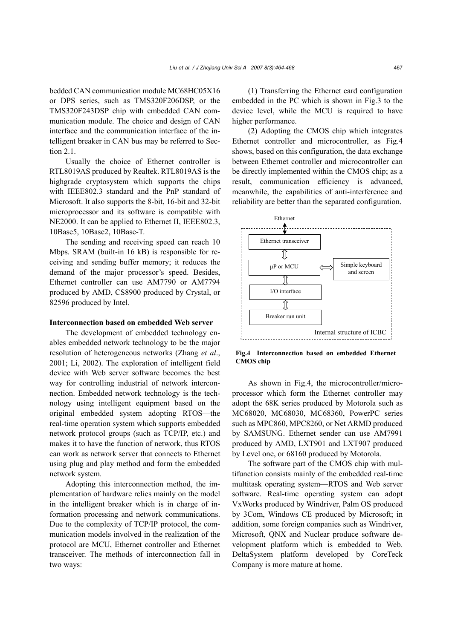bedded CAN communication module MC68HC05X16 or DPS series, such as TMS320F206DSP, or the TMS320F243DSP chip with embedded CAN communication module. The choice and design of CAN interface and the communication interface of the intelligent breaker in CAN bus may be referred to Section 2.1.

Usually the choice of Ethernet controller is RTL8019AS produced by Realtek. RTL8019AS is the highgrade cryptosystem which supports the chips with IEEE802.3 standard and the PnP standard of Microsoft. It also supports the 8-bit, 16-bit and 32-bit microprocessor and its software is compatible with NE2000. It can be applied to Ethernet II, IEEE802.3, 10Base5, 10Base2, 10Base-T.

The sending and receiving speed can reach 10 Mbps. SRAM (built-in 16 kB) is responsible for receiving and sending buffer memory; it reduces the demand of the major processor's speed. Besides, Ethernet controller can use AM7790 or AM7794 produced by AMD, CS8900 produced by Crystal, or 82596 produced by Intel.

## **Interconnection based on embedded Web server**

The development of embedded technology enables embedded network technology to be the major resolution of heterogeneous networks (Zhang *et al*., 2001; Li, 2002). The exploration of intelligent field device with Web server software becomes the best way for controlling industrial of network interconnection. Embedded network technology is the technology using intelligent equipment based on the original embedded system adopting RTOS—the real-time operation system which supports embedded network protocol groups (such as TCP/IP, etc.) and makes it to have the function of network, thus RTOS can work as network server that connects to Ethernet using plug and play method and form the embedded network system.

Adopting this interconnection method, the implementation of hardware relies mainly on the model in the intelligent breaker which is in charge of information processing and network communications. Due to the complexity of TCP/IP protocol, the communication models involved in the realization of the protocol are MCU, Ethernet controller and Ethernet transceiver. The methods of interconnection fall in two ways:

(1) Transferring the Ethernet card configuration embedded in the PC which is shown in Fig.3 to the device level, while the MCU is required to have higher performance.

(2) Adopting the CMOS chip which integrates Ethernet controller and microcontroller, as Fig.4 shows, based on this configuration, the data exchange between Ethernet controller and microcontroller can be directly implemented within the CMOS chip; as a result, communication efficiency is advanced, meanwhile, the capabilities of anti-interference and reliability are better than the separated configuration.



**Fig.4 Interconnection based on embedded Ethernet CMOS chip** 

As shown in Fig.4, the microcontroller/microprocessor which form the Ethernet controller may adopt the 68K series produced by Motorola such as MC68020, MC68030, MC68360, PowerPC series such as MPC860, MPC8260, or Net ARMD produced by SAMSUNG. Ethernet sender can use AM7991 produced by AMD, LXT901 and LXT907 produced by Level one, or 68160 produced by Motorola.

The software part of the CMOS chip with multifunction consists mainly of the embedded real-time multitask operating system—RTOS and Web server software. Real-time operating system can adopt VxWorks produced by Windriver, Palm OS produced by 3Com, Windows CE produced by Microsoft; in addition, some foreign companies such as Windriver, Microsoft, QNX and Nuclear produce software development platform which is embedded to Web. DeltaSystem platform developed by CoreTeck Company is more mature at home.